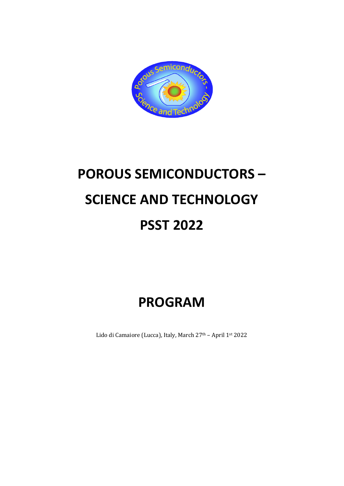

# **POROUS SEMICONDUCTORS – SCIENCE AND TECHNOLOGY PSST 2022**

# **PROGRAM**

Lido di Camaiore (Lucca), Italy, March 27<sup>th</sup> - April 1st 2022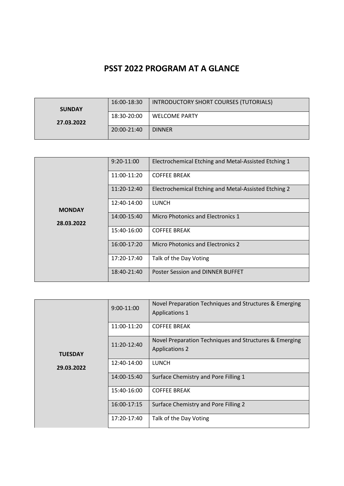## **PSST 2022 PROGRAM AT A GLANCE**

| <b>SUNDAY</b> | 16:00-18:30 | INTRODUCTORY SHORT COURSES (TUTORIALS) |
|---------------|-------------|----------------------------------------|
| 27.03.2022    | 18:30-20:00 | <b>WELCOME PARTY</b>                   |
|               | 20:00-21:40 | <b>DINNER</b>                          |

|               | 9:20-11:00  | Electrochemical Etching and Metal-Assisted Etching 1 |
|---------------|-------------|------------------------------------------------------|
|               | 11:00-11:20 | <b>COFFEE BREAK</b>                                  |
|               | 11:20-12:40 | Electrochemical Etching and Metal-Assisted Etching 2 |
| <b>MONDAY</b> | 12:40-14:00 | <b>LUNCH</b>                                         |
| 28.03.2022    | 14:00-15:40 | Micro Photonics and Electronics 1                    |
|               | 15:40-16:00 | <b>COFFEE BREAK</b>                                  |
|               | 16:00-17:20 | <b>Micro Photonics and Electronics 2</b>             |
|               | 17:20-17:40 | Talk of the Day Voting                               |
|               | 18:40-21:40 | Poster Session and DINNER BUFFET                     |

|                | $9:00-11:00$ | Novel Preparation Techniques and Structures & Emerging<br><b>Applications 1</b> |
|----------------|--------------|---------------------------------------------------------------------------------|
|                | 11:00-11:20  | <b>COFFEE BREAK</b>                                                             |
| <b>TUESDAY</b> | 11:20-12:40  | Novel Preparation Techniques and Structures & Emerging<br><b>Applications 2</b> |
| 29.03.2022     | 12:40-14:00  | <b>LUNCH</b>                                                                    |
|                | 14:00-15:40  | Surface Chemistry and Pore Filling 1                                            |
|                | 15:40-16:00  | <b>COFFEE BREAK</b>                                                             |
|                | 16:00-17:15  | Surface Chemistry and Pore Filling 2                                            |
|                | 17:20-17:40  | Talk of the Day Voting                                                          |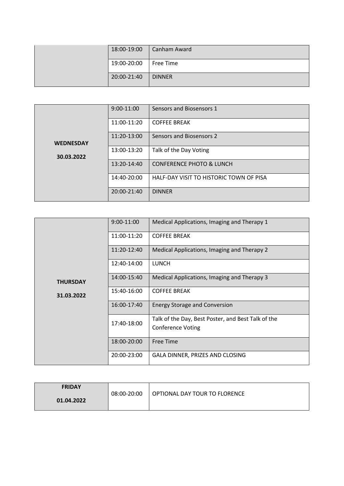| 18:00-19:00 | Canham Award  |
|-------------|---------------|
| 19:00-20:00 | Free Time     |
| 20:00-21:40 | <b>DINNER</b> |

|                  | $9:00-11:00$ | Sensors and Biosensors 1                |
|------------------|--------------|-----------------------------------------|
|                  | 11:00-11:20  | <b>COFFEE BREAK</b>                     |
| <b>WEDNESDAY</b> | 11:20-13:00  | Sensors and Biosensors 2                |
| 30.03.2022       | 13:00-13:20  | Talk of the Day Voting                  |
|                  | 13:20-14:40  | <b>CONFERENCE PHOTO &amp; LUNCH</b>     |
|                  | 14:40-20:00  | HALF-DAY VISIT TO HISTORIC TOWN OF PISA |
|                  | 20:00-21:40  | <b>DINNER</b>                           |

|                 | 9:00-11:00  | Medical Applications, Imaging and Therapy 1                                    |
|-----------------|-------------|--------------------------------------------------------------------------------|
|                 | 11:00-11:20 | <b>COFFEE BREAK</b>                                                            |
|                 | 11:20-12:40 | Medical Applications, Imaging and Therapy 2                                    |
|                 | 12:40-14:00 | <b>LUNCH</b>                                                                   |
| <b>THURSDAY</b> | 14:00-15:40 | Medical Applications, Imaging and Therapy 3                                    |
| 31.03.2022      | 15:40-16:00 | <b>COFFEE BREAK</b>                                                            |
|                 | 16:00-17:40 | <b>Energy Storage and Conversion</b>                                           |
|                 | 17:40-18:00 | Talk of the Day, Best Poster, and Best Talk of the<br><b>Conference Voting</b> |
|                 | 18:00-20:00 | <b>Free Time</b>                                                               |
|                 | 20:00-23:00 | GALA DINNER, PRIZES AND CLOSING                                                |

| <b>FRIDAY</b><br>01.04.2022 | 08:00-20:00 | OPTIONAL DAY TOUR TO FLORENCE |
|-----------------------------|-------------|-------------------------------|
|                             |             |                               |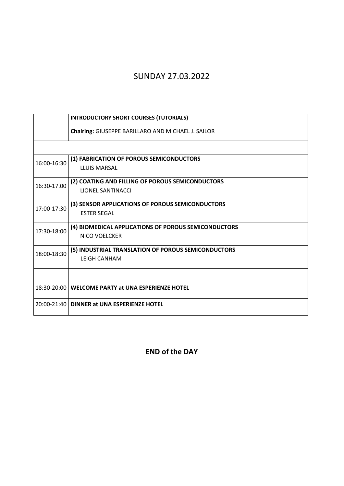# SUNDAY 27.03.2022

|             | <b>INTRODUCTORY SHORT COURSES (TUTORIALS)</b>        |  |  |
|-------------|------------------------------------------------------|--|--|
|             | Chairing: GIUSEPPE BARILLARO AND MICHAEL J. SAILOR   |  |  |
|             |                                                      |  |  |
| 16:00-16:30 | (1) FABRICATION OF POROUS SEMICONDUCTORS             |  |  |
|             | LLUIS MARSAL                                         |  |  |
| 16:30-17.00 | (2) COATING AND FILLING OF POROUS SEMICONDUCTORS     |  |  |
|             | <b>LIONEL SANTINACCI</b>                             |  |  |
| 17:00-17:30 | (3) SENSOR APPLICATIONS OF POROUS SEMICONDUCTORS     |  |  |
|             | <b>ESTER SEGAL</b>                                   |  |  |
| 17:30-18:00 | (4) BIOMEDICAL APPLICATIONS OF POROUS SEMICONDUCTORS |  |  |
|             | NICO VOELCKER                                        |  |  |
| 18:00-18:30 | (5) INDUSTRIAL TRANSLATION OF POROUS SEMICONDUCTORS  |  |  |
|             | <b>LEIGH CANHAM</b>                                  |  |  |
|             |                                                      |  |  |
|             | 18:30-20:00 WELCOME PARTY at UNA ESPERIENZE HOTEL    |  |  |
|             | 20:00-21:40   DINNER at UNA ESPERIENZE HOTEL         |  |  |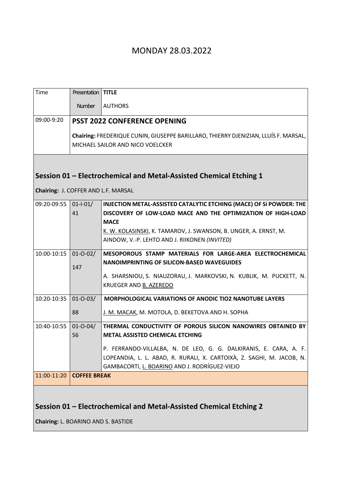#### MONDAY 28.03.2022

| Time                                | Presentation   TITLE |                                                                                                                         |
|-------------------------------------|----------------------|-------------------------------------------------------------------------------------------------------------------------|
|                                     | <b>Number</b>        | <b>AUTHORS</b>                                                                                                          |
| 09:00-9:20                          |                      | <b>PSST 2022 CONFERENCE OPENING</b>                                                                                     |
|                                     |                      | Chairing: FREDERIQUE CUNIN, GIUSEPPE BARILLARO, THIERRY DJENIZIAN, LLUÍS F. MARSAL,<br>MICHAEL SAILOR AND NICO VOELCKER |
|                                     |                      |                                                                                                                         |
|                                     |                      | Session 01 - Electrochemical and Metal-Assisted Chemical Etching 1                                                      |
| Chairing: J. COFFER AND L.F. MARSAL |                      |                                                                                                                         |
| 09:20-09:55                         | $01 - 01/$           | INJECTION METAL-ASSISTED CATALYTIC ETCHING (MACE) OF SI POWDER: THE                                                     |
|                                     | 41                   | DISCOVERY OF LOW-LOAD MACE AND THE OPTIMIZATION OF HIGH-LOAD                                                            |
|                                     |                      | <b>MACE</b><br>K. W. KOLASINSKI, K. TAMAROV, J. SWANSON, B. UNGER, A. ERNST, M.                                         |
|                                     |                      | AINDOW, V.-P. LEHTO AND J. RIIKONEN (INVITED)                                                                           |
| 10:00-10:15                         | $01 - 0 - 02/$       | MESOPOROUS STAMP MATERIALS FOR LARGE-AREA ELECTROCHEMICAL                                                               |
|                                     | 147                  | <b>NANOIMPRINTING OF SILICON-BASED WAVEGUIDES</b>                                                                       |
|                                     |                      | A. SHARSNIOU, S. NIAUZORAU, J. MARKOVSKI, N. KUBLIK, M. PUCKETT, N.                                                     |
|                                     |                      | KRUEGER AND B. AZEREDO                                                                                                  |
| 10:20-10:35                         | $01 - 0 - 03/$       | <b>MORPHOLOGICAL VARIATIONS OF ANODIC TIO2 NANOTUBE LAYERS</b>                                                          |
|                                     | 88                   | J. M. MACAK, M. MOTOLA, D. BEKETOVA AND H. SOPHA                                                                        |
| 10:40-10:55                         | $01 - 0 - 04/$       | THERMAL CONDUCTIVITY OF POROUS SILICON NANOWIRES OBTAINED BY                                                            |
|                                     | 56                   | <b>METAL ASSISTED CHEMICAL ETCHING</b>                                                                                  |
|                                     |                      | P. FERRANDO-VILLALBA, N. DE LEO, G. G. DALKIRANIS, E. CARA, A. F.                                                       |
|                                     |                      | LOPEANDIA, L. L. ABAD, R. RURALI, X. CARTOIXÀ, Z. SAGHI, M. JACOB, N.                                                   |
| 11:00-11:20                         | <b>COFFEE BREAK</b>  | GAMBACORTI, L. BOARINO AND J. RODRÍGUEZ-VIEJO                                                                           |
|                                     |                      |                                                                                                                         |
|                                     |                      |                                                                                                                         |
|                                     |                      |                                                                                                                         |

#### **Session 01 – Electrochemical and Metal-Assisted Chemical Etching 2**

**Chairing:** L. BOARINO AND S. BASTIDE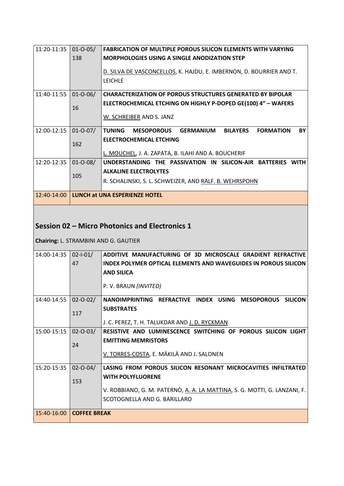| 11:20-11:35 | $01 - 0 - 05/$ | <b>FABRICATION OF MULTIPLE POROUS SILICON ELEMENTS WITH VARYING</b>                                 |
|-------------|----------------|-----------------------------------------------------------------------------------------------------|
|             | 138            | <b>MORPHOLOGIES USING A SINGLE ANODIZATION STEP</b>                                                 |
|             |                |                                                                                                     |
|             |                | D. SILVA DE VASCONCELLOS, K. HAJDU, E. IMBERNON, D. BOURRIER AND T.                                 |
|             |                | <b>LEICHLE</b>                                                                                      |
|             |                |                                                                                                     |
| 11:40-11:55 | $01 - 0 - 06/$ | <b>CHARACTERIZATION OF POROUS STRUCTURES GENERATED BY BIPOLAR</b>                                   |
|             |                | ELECTROCHEMICAL ETCHING ON HIGHLY P-DOPED GE(100) 4" - WAFERS                                       |
|             | 16             |                                                                                                     |
|             |                | W. SCHREIBER AND S. JANZ                                                                            |
|             |                |                                                                                                     |
| 12:00-12:15 | $01 - 0 - 07/$ | GERMANIUM<br><b>BY</b><br><b>TUNING</b><br><b>MESOPOROUS</b><br><b>BILAYERS</b><br><b>FORMATION</b> |
|             |                | <b>ELECTROCHEMICAL ETCHING</b>                                                                      |
|             | 162            |                                                                                                     |
|             |                | L. MOUCHEL, J. A. ZAPATA, B. ILAHI AND A. BOUCHERIF                                                 |
| 12:20-12:35 | $01 - 0 - 08/$ | UNDERSTANDING THE PASSIVATION IN SILICON-AIR BATTERIES<br><b>WITH</b>                               |
|             |                | <b>ALKALINE ELECTROLYTES</b>                                                                        |
|             | 105            |                                                                                                     |
|             |                | R. SCHALINSKI, S. L. SCHWEIZER, AND RALF. B. WEHRSPOHN                                              |
|             |                |                                                                                                     |
| 12:40-14:00 |                | LUNCH at UNA ESPERIENZE HOTEL                                                                       |

### **Session 02 – Micro Photonics and Electronics 1**

**Chairing:** L. STRAMBINI AND G. GAUTIER

| 14:00-14:35 | $02 - 1 - 01/$<br>47 | ADDITIVE MANUFACTURING OF 3D MICROSCALE GRADIENT REFRACTIVE<br>INDEX POLYMER OPTICAL ELEMENTS AND WAVEGUIDES IN POROUS SILICON |
|-------------|----------------------|--------------------------------------------------------------------------------------------------------------------------------|
|             |                      | <b>AND SILICA</b>                                                                                                              |
|             |                      | P.V. BRAUN (INVITED)                                                                                                           |
| 14:40-14:55 | $02 - 0 - 02/$       | NANOIMPRINTING REFRACTIVE INDEX USING MESOPOROUS<br><b>SILICON</b>                                                             |
|             | 117                  | <b>SUBSTRATES</b>                                                                                                              |
|             |                      | J. C. PEREZ, T. H. TALUKDAR AND J. D. RYCKMAN                                                                                  |
| 15:00-15:15 | $02 - 0 - 03/$       | RESISTIVE AND LUMINESCENCE SWITCHING OF POROUS SILICON LIGHT                                                                   |
|             | 24                   | <b>EMITTING MEMRISTORS</b>                                                                                                     |
|             |                      | V. TORRES-COSTA, E. MÄKILÄ AND J. SALONEN                                                                                      |
| 15:20-15:35 | $02 - 0 - 04/$       | LASING FROM POROUS SILICON RESONANT MICROCAVITIES INFILTRATED                                                                  |
|             | 153                  | <b>WITH POLYFLUORENE</b>                                                                                                       |
|             |                      | V. ROBBIANO, G. M. PATERNÒ, <u>A. A. LA MATTINA</u> , S. G. MOTTI, G. LANZANI, F.                                              |
|             |                      | SCOTOGNELLA AND G. BARILLARO                                                                                                   |
| 15:40-16:00 | <b>COFFEE BREAK</b>  |                                                                                                                                |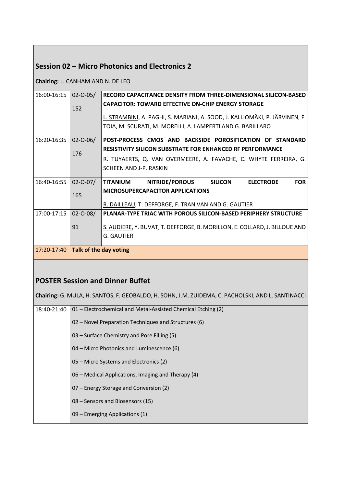#### **Session 02 – Micro Photonics and Electronics 2**

**Chairing:** L. CANHAM AND N. DE LEO

| 16:00-16:15 | $02 - 0 - 05/$         | RECORD CAPACITANCE DENSITY FROM THREE-DIMENSIONAL SILICON-BASED                       |
|-------------|------------------------|---------------------------------------------------------------------------------------|
|             |                        | <b>CAPACITOR: TOWARD EFFECTIVE ON-CHIP ENERGY STORAGE</b>                             |
|             | 152                    |                                                                                       |
|             |                        | L. STRAMBINI, A. PAGHI, S. MARIANI, A. SOOD, J. KALLIOMÄKI, P. JÄRVINEN, F. J         |
|             |                        | TOIA, M. SCURATI, M. MORELLI, A. LAMPERTI AND G. BARILLARO                            |
|             |                        |                                                                                       |
| 16:20-16:35 | $02 - 0 - 06/$         | POST-PROCESS CMOS AND BACKSIDE POROSIFICATION OF STANDARD                             |
|             | 176                    | <b>RESISTIVITY SILICON SUBSTRATE FOR ENHANCED RF PERFORMANCE</b>                      |
|             |                        | R. TUYAERTS, Q. VAN OVERMEERE, A. FAVACHE, C. WHYTE FERREIRA, G.                      |
|             |                        | SCHEEN AND J-P. RASKIN                                                                |
|             |                        |                                                                                       |
| 16:40-16:55 | $02 - 0 - 07/$         | <b>FOR</b><br><b>NITRIDE/POROUS</b><br><b>SILICON</b><br><b>ELECTRODE</b><br>TITANIUM |
|             |                        | <b>MICROSUPERCAPACITOR APPLICATIONS</b>                                               |
|             | 165                    |                                                                                       |
|             |                        | R. DAILLEAU, T. DEFFORGE, F. TRAN VAN AND G. GAUTIER                                  |
| 17:00-17:15 | $02 - 0 - 08/$         | <b>PLANAR-TYPE TRIAC WITH POROUS SILICON-BASED PERIPHERY STRUCTURE</b>                |
|             |                        |                                                                                       |
|             | 91                     | S. AUDIERE, Y. BUVAT, T. DEFFORGE, B. MORILLON, E. COLLARD, J. BILLOUE AND            |
|             |                        | G. GAUTIER                                                                            |
|             |                        |                                                                                       |
| 17:20-17:40 | Talk of the day voting |                                                                                       |
|             |                        |                                                                                       |

#### **POSTER Session and Dinner Buffet**

**Chairing:** G. MULA, H. SANTOS, F. GEOBALDO, H. SOHN, J.M. ZUIDEMA, C. PACHOLSKI, AND L. SANTINACCI

| 18:40-21:40 | 01 - Electrochemical and Metal-Assisted Chemical Etching (2) |  |  |  |  |
|-------------|--------------------------------------------------------------|--|--|--|--|
|             | 02 – Novel Preparation Techniques and Structures (6)         |  |  |  |  |
|             | 03 – Surface Chemistry and Pore Filling (5)                  |  |  |  |  |
|             | 04 – Micro Photonics and Luminescence (6)                    |  |  |  |  |
|             | 05 – Micro Systems and Electronics (2)                       |  |  |  |  |
|             | 06 – Medical Applications, Imaging and Therapy (4)           |  |  |  |  |
|             | 07 – Energy Storage and Conversion (2)                       |  |  |  |  |
|             | 08 – Sensors and Biosensors (15)                             |  |  |  |  |
|             | $09$ – Emerging Applications (1)                             |  |  |  |  |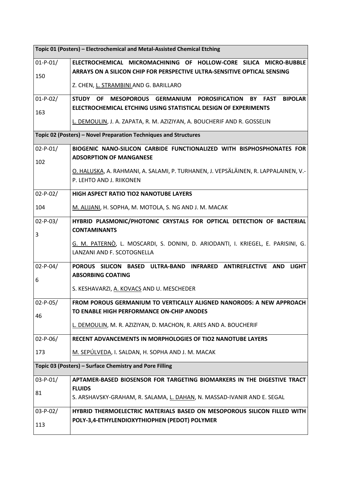| Topic 01 (Posters) - Electrochemical and Metal-Assisted Chemical Etching |                                                                                                                                               |  |  |  |
|--------------------------------------------------------------------------|-----------------------------------------------------------------------------------------------------------------------------------------------|--|--|--|
| $01-P-01/$                                                               | ELECTROCHEMICAL MICROMACHINING OF HOLLOW-CORE SILICA MICRO-BUBBLE<br>ARRAYS ON A SILICON CHIP FOR PERSPECTIVE ULTRA-SENSITIVE OPTICAL SENSING |  |  |  |
| 150                                                                      | Z. CHEN, L. STRAMBINI AND G. BARILLARO                                                                                                        |  |  |  |
| $01-P-02/$                                                               | <b>STUDY</b><br><b>FAST</b><br><b>BIPOLAR</b><br><b>OF</b><br>MESOPOROUS GERMANIUM POROSIFICATION<br><b>BY</b>                                |  |  |  |
| 163                                                                      | ELECTROCHEMICAL ETCHING USING STATISTICAL DESIGN OF EXPERIMENTS                                                                               |  |  |  |
|                                                                          | L. DEMOULIN, J. A. ZAPATA, R. M. AZIZIYAN, A. BOUCHERIF AND R. GOSSELIN                                                                       |  |  |  |
|                                                                          | Topic 02 (Posters) - Novel Preparation Techniques and Structures                                                                              |  |  |  |
| $02-P-01/$                                                               | BIOGENIC NANO-SILICON CARBIDE FUNCTIONALIZED WITH BISPHOSPHONATES FOR                                                                         |  |  |  |
| 102                                                                      | <b>ADSORPTION OF MANGANESE</b>                                                                                                                |  |  |  |
|                                                                          | O. HALUSKA, A. RAHMANI, A. SALAMI, P. TURHANEN, J. VEPSÄLÄINEN, R. LAPPALAINEN, V.-                                                           |  |  |  |
|                                                                          | P. LEHTO AND J. RIIKONEN                                                                                                                      |  |  |  |
| $02-P-02/$                                                               | HIGH ASPECT RATIO TIO2 NANOTUBE LAYERS                                                                                                        |  |  |  |
| 104                                                                      | M. ALIJANI, H. SOPHA, M. MOTOLA, S. NG AND J. M. MACAK                                                                                        |  |  |  |
| $02-P-03/$                                                               | HYBRID PLASMONIC/PHOTONIC CRYSTALS FOR OPTICAL DETECTION OF BACTERIAL                                                                         |  |  |  |
| 3                                                                        | <b>CONTAMINANTS</b>                                                                                                                           |  |  |  |
|                                                                          | G. M. PATERNÒ, L. MOSCARDI, S. DONINI, D. ARIODANTI, I. KRIEGEL, E. PARISINI, G.<br>LANZANI AND F. SCOTOGNELLA                                |  |  |  |
| $02-P-04/$<br>6                                                          | POROUS SILICON BASED ULTRA-BAND INFRARED ANTIREFLECTIVE AND<br><b>LIGHT</b><br><b>ABSORBING COATING</b>                                       |  |  |  |
|                                                                          | S. KESHAVARZI, A. KOVACS AND U. MESCHEDER                                                                                                     |  |  |  |
| $02-P-05/$                                                               | FROM POROUS GERMANIUM TO VERTICALLY ALIGNED NANORODS: A NEW APPROACH                                                                          |  |  |  |
| 46                                                                       | TO ENABLE HIGH PERFORMANCE ON-CHIP ANODES                                                                                                     |  |  |  |
|                                                                          | L. DEMOULIN, M. R. AZIZIYAN, D. MACHON, R. ARES AND A. BOUCHERIF                                                                              |  |  |  |
| $02-P-06/$                                                               | RECENT ADVANCEMENTS IN MORPHOLOGIES OF TIO2 NANOTUBE LAYERS                                                                                   |  |  |  |
| 173                                                                      | M. SEPÚLVEDA, I. SALDAN, H. SOPHA AND J. M. MACAK                                                                                             |  |  |  |
|                                                                          | Topic 03 (Posters) - Surface Chemistry and Pore Filling                                                                                       |  |  |  |
| $03-P-01/$                                                               | APTAMER-BASED BIOSENSOR FOR TARGETING BIOMARKERS IN THE DIGESTIVE TRACT                                                                       |  |  |  |
| 81                                                                       | <b>FLUIDS</b>                                                                                                                                 |  |  |  |
|                                                                          | S. ARSHAVSKY-GRAHAM, R. SALAMA, L. DAHAN, N. MASSAD-IVANIR AND E. SEGAL                                                                       |  |  |  |
| 03-P-02/                                                                 | HYBRID THERMOELECTRIC MATERIALS BASED ON MESOPOROUS SILICON FILLED WITH                                                                       |  |  |  |
| 113                                                                      | POLY-3,4-ETHYLENDIOXYTHIOPHEN (PEDOT) POLYMER                                                                                                 |  |  |  |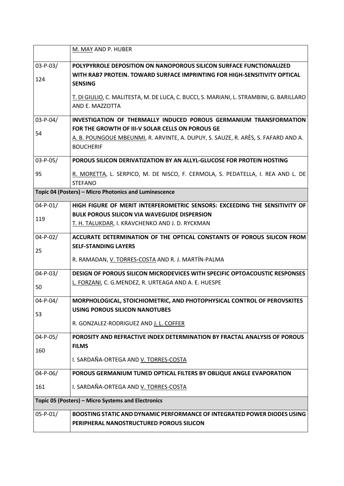|                | M. MAY AND P. HUBER                                                                               |  |  |  |  |
|----------------|---------------------------------------------------------------------------------------------------|--|--|--|--|
| $03-P-03/$     | POLYPYRROLE DEPOSITION ON NANOPOROUS SILICON SURFACE FUNCTIONALIZED                               |  |  |  |  |
|                | WITH RAB7 PROTEIN. TOWARD SURFACE IMPRINTING FOR HIGH-SENSITIVITY OPTICAL                         |  |  |  |  |
| 124            | <b>SENSING</b>                                                                                    |  |  |  |  |
|                | T. DI GIULIO, C. MALITESTA, M. DE LUCA, C. BUCCI, S. MARIANI, L. STRAMBINI, G. BARILLARO          |  |  |  |  |
|                | AND E. MAZZOTTA                                                                                   |  |  |  |  |
| $03 - P - 04/$ | INVESTIGATION OF THERMALLY INDUCED POROUS GERMANIUM TRANSFORMATION                                |  |  |  |  |
| 54             | FOR THE GROWTH OF III-V SOLAR CELLS ON POROUS GE                                                  |  |  |  |  |
|                | A. B. POUNGOUE MBEUNMI, R. ARVINTE, A. DUPUY, S. SAUZE, R. ARÈS, S. FAFARD AND A.                 |  |  |  |  |
|                | <b>BOUCHERIF</b>                                                                                  |  |  |  |  |
| 03-P-05/       | POROUS SILICON DERIVATIZATION BY AN ALLYL-GLUCOSE FOR PROTEIN HOSTING                             |  |  |  |  |
| 95             | R. MORETTA, L. SERPICO, M. DE NISCO, F. CERMOLA, S. PEDATELLA, I. REA AND L. DE<br><b>STEFANO</b> |  |  |  |  |
|                | Topic 04 (Posters) - Micro Photonics and Luminescence                                             |  |  |  |  |
| $04 - P - 01/$ | HIGH FIGURE OF MERIT INTERFEROMETRIC SENSORS: EXCEEDING THE SENSITIVITY OF                        |  |  |  |  |
| 119            | <b>BULK POROUS SILICON VIA WAVEGUIDE DISPERSION</b>                                               |  |  |  |  |
|                | T. H. TALUKDAR, I. KRAVCHENKO AND J. D. RYCKMAN                                                   |  |  |  |  |
| $04 - P - 02/$ | ACCURATE DETERMINATION OF THE OPTICAL CONSTANTS OF POROUS SILICON FROM                            |  |  |  |  |
| 25             | <b>SELF-STANDING LAYERS</b>                                                                       |  |  |  |  |
|                | R. RAMADAN, V. TORRES-COSTA AND R. J. MARTÍN-PALMA                                                |  |  |  |  |
| $04 - P - 03/$ | DESIGN OF POROUS SILICON MICRODEVICES WITH SPECIFIC OPTOACOUSTIC RESPONSES                        |  |  |  |  |
| 50             | L. FORZANI, C. G.MENDEZ, R. URTEAGA AND A. E. HUESPE                                              |  |  |  |  |
| $04 - P - 04/$ | MORPHOLOGICAL, STOICHIOMETRIC, AND PHOTOPHYSICAL CONTROL OF PEROVSKITES                           |  |  |  |  |
| 53             | <b>USING POROUS SILICON NANOTUBES</b>                                                             |  |  |  |  |
|                | R. GONZALEZ-RODRIGUEZ AND J. L. COFFER                                                            |  |  |  |  |
| $04 - P - 05/$ | POROSITY AND REFRACTIVE INDEX DETERMINATION BY FRACTAL ANALYSIS OF POROUS                         |  |  |  |  |
| 160            | <b>FILMS</b>                                                                                      |  |  |  |  |
|                | I. SARDAÑA-ORTEGA AND V. TORRES-COSTA                                                             |  |  |  |  |
| $04 - P - 06/$ | POROUS GERMANIUM TUNED OPTICAL FILTERS BY OBLIQUE ANGLE EVAPORATION                               |  |  |  |  |
| 161            | I. SARDAÑA-ORTEGA AND V. TORRES-COSTA                                                             |  |  |  |  |
|                | Topic 05 (Posters) - Micro Systems and Electronics                                                |  |  |  |  |
| $05 - P - 01/$ | BOOSTING STATIC AND DYNAMIC PERFORMANCE OF INTEGRATED POWER DIODES USING                          |  |  |  |  |
|                | PERIPHERAL NANOSTRUCTURED POROUS SILICON                                                          |  |  |  |  |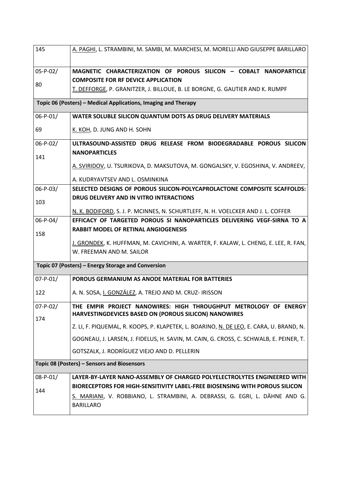| 145                   | A. PAGHI, L. STRAMBINI, M. SAMBI, M. MARCHESI, M. MORELLI AND GIUSEPPE BARILLARO                                          |  |  |  |  |
|-----------------------|---------------------------------------------------------------------------------------------------------------------------|--|--|--|--|
| $05 - P - 02/$        | MAGNETIC CHARACTERIZATION OF POROUS SILICON - COBALT NANOPARTICLE                                                         |  |  |  |  |
| 80                    | <b>COMPOSITE FOR RF DEVICE APPLICATION</b>                                                                                |  |  |  |  |
|                       | T. DEFFORGE, P. GRANITZER, J. BILLOUE, B. LE BORGNE, G. GAUTIER AND K. RUMPF                                              |  |  |  |  |
|                       | Topic 06 (Posters) - Medical Applications, Imaging and Therapy                                                            |  |  |  |  |
| 06-P-01/              | WATER SOLUBLE SILICON QUANTUM DOTS AS DRUG DELIVERY MATERIALS                                                             |  |  |  |  |
| 69                    | K. KOH, D. JUNG AND H. SOHN                                                                                               |  |  |  |  |
| $06-P-02/$            | ULTRASOUND-ASSISTED DRUG RELEASE FROM BIODEGRADABLE POROUS SILICON                                                        |  |  |  |  |
| 141                   | <b>NANOPARTICLES</b>                                                                                                      |  |  |  |  |
|                       | A. SVIRIDOV, U. TSURIKOVA, D. MAKSUTOVA, M. GONGALSKY, V. EGOSHINA, V. ANDREEV,                                           |  |  |  |  |
|                       | A. KUDRYAVTSEV AND L. OSMINKINA                                                                                           |  |  |  |  |
| $06 - P - 03/$        | SELECTED DESIGNS OF POROUS SILICON-POLYCAPROLACTONE COMPOSITE SCAFFOLDS:                                                  |  |  |  |  |
| 103                   | DRUG DELIVERY AND IN VITRO INTERACTIONS                                                                                   |  |  |  |  |
|                       | N. K. BODIFORD, S. J. P. MCINNES, N. SCHURTLEFF, N. H. VOELCKER AND J. L. COFFER                                          |  |  |  |  |
| $06-P-04/$            | EFFICACY OF TARGETED POROUS SI NANOPARTICLES DELIVERING VEGF-SIRNA TO A                                                   |  |  |  |  |
| 158                   | <b>RABBIT MODEL OF RETINAL ANGIOGENESIS</b>                                                                               |  |  |  |  |
|                       | J. GRONDEK, K. HUFFMAN, M. CAVICHINI, A. WARTER, F. KALAW, L. CHENG, E. LEE, R. FAN,                                      |  |  |  |  |
|                       | W. FREEMAN AND M. SAILOR                                                                                                  |  |  |  |  |
|                       | Topic 07 (Posters) – Energy Storage and Conversion                                                                        |  |  |  |  |
| $07 - P - 01/$        | POROUS GERMANIUM AS ANODE MATERIAL FOR BATTERIES                                                                          |  |  |  |  |
| 122                   | A. N. SOSA, I. GONZÁLEZ, A. TREJO AND M. CRUZ- IRISSON                                                                    |  |  |  |  |
| $07 - P - 02/$<br>174 | THE EMPIR PROJECT NANOWIRES: HIGH THROUGHPUT METROLOGY OF ENERGY<br>HARVESTINGDEVICES BASED ON (POROUS SILICON) NANOWIRES |  |  |  |  |
|                       | Z. LI, F. PIQUEMAL, R. KOOPS, P. KLAPETEK, L. BOARINO, N. DE LEO, E. CARA, U. BRAND, N.                                   |  |  |  |  |
|                       | GOGNEAU, J. LARSEN, J. FIDELUS, H. SAVIN, M. CAIN, G. CROSS, C. SCHWALB, E. PEINER, T.                                    |  |  |  |  |
|                       | GOTSZALK, J. RODRÍGUEZ VIEJO AND D. PELLERIN                                                                              |  |  |  |  |
|                       | Topic 08 (Posters) - Sensors and Biosensors                                                                               |  |  |  |  |
| $08 - P - 01/$        | LAYER-BY-LAYER NANO-ASSEMBLY OF CHARGED POLYELECTROLYTES ENGINEERED WITH                                                  |  |  |  |  |
| 144                   | BIORECEPTORS FOR HIGH-SENSITIVITY LABEL-FREE BIOSENSING WITH POROUS SILICON                                               |  |  |  |  |
|                       | S. MARIANI, V. ROBBIANO, L. STRAMBINI, A. DEBRASSI, G. EGRI, L. DÄHNE AND G.<br><b>BARILLARO</b>                          |  |  |  |  |
|                       |                                                                                                                           |  |  |  |  |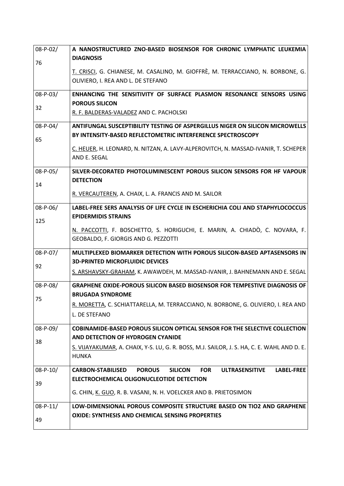| $08 - P - 02/$ | A NANOSTRUCTURED ZNO-BASED BIOSENSOR FOR CHRONIC LYMPHATIC LEUKEMIA                                              |  |  |  |  |
|----------------|------------------------------------------------------------------------------------------------------------------|--|--|--|--|
| 76             | <b>DIAGNOSIS</b>                                                                                                 |  |  |  |  |
|                | T. CRISCI, G. CHIANESE, M. CASALINO, M. GIOFFRÈ, M. TERRACCIANO, N. BORBONE, G.                                  |  |  |  |  |
|                | OLIVIERO, I. REA AND L. DE STEFANO                                                                               |  |  |  |  |
|                |                                                                                                                  |  |  |  |  |
| 08-P-03/       | ENHANCING THE SENSITIVITY OF SURFACE PLASMON RESONANCE SENSORS USING                                             |  |  |  |  |
| 32             | <b>POROUS SILICON</b>                                                                                            |  |  |  |  |
|                | R. F. BALDERAS-VALADEZ AND C. PACHOLSKI                                                                          |  |  |  |  |
| $08-P-04/$     | <b>ANTIFUNGAL SUSCEPTIBILITY TESTING OF ASPERGILLUS NIGER ON SILICON MICROWELLS</b>                              |  |  |  |  |
| 65             | BY INTENSITY-BASED REFLECTOMETRIC INTERFERENCE SPECTROSCOPY                                                      |  |  |  |  |
|                | C. HEUER, H. LEONARD, N. NITZAN, A. LAVY-ALPEROVITCH, N. MASSAD-IVANIR, T. SCHEPER                               |  |  |  |  |
|                | AND E. SEGAL                                                                                                     |  |  |  |  |
| $08 - P - 05/$ | SILVER-DECORATED PHOTOLUMINESCENT POROUS SILICON SENSORS FOR HF VAPOUR                                           |  |  |  |  |
|                | <b>DETECTION</b>                                                                                                 |  |  |  |  |
| 14             |                                                                                                                  |  |  |  |  |
|                | R. VERCAUTEREN, A. CHAIX, L. A. FRANCIS AND M. SAILOR                                                            |  |  |  |  |
| 08-P-06/       | LABEL-FREE SERS ANALYSIS OF LIFE CYCLE IN ESCHERICHIA COLI AND STAPHYLOCOCCUS                                    |  |  |  |  |
| 125            | <b>EPIDERMIDIS STRAINS</b>                                                                                       |  |  |  |  |
|                | N. PACCOTTI, F. BOSCHETTO, S. HORIGUCHI, E. MARIN, A. CHIADÒ, C. NOVARA, F.                                      |  |  |  |  |
|                | GEOBALDO, F. GIORGIS AND G. PEZZOTTI                                                                             |  |  |  |  |
| 08-P-07/       | MULTIPLEXED BIOMARKER DETECTION WITH POROUS SILICON-BASED APTASENSORS IN                                         |  |  |  |  |
|                | <b>3D-PRINTED MICROFLUIDIC DEVICES</b>                                                                           |  |  |  |  |
| 92             | S. ARSHAVSKY-GRAHAM, K. AWAWDEH, M. MASSAD-IVANIR, J. BAHNEMANN AND E. SEGAL                                     |  |  |  |  |
|                |                                                                                                                  |  |  |  |  |
| 08-P-08/       | GRAPHENE OXIDE-POROUS SILICON BASED BIOSENSOR FOR TEMPESTIVE DIAGNOSIS OF                                        |  |  |  |  |
| 75             | <b>BRUGADA SYNDROME</b>                                                                                          |  |  |  |  |
|                | R. MORETTA, C. SCHIATTARELLA, M. TERRACCIANO, N. BORBONE, G. OLIVIERO, I. REA AND                                |  |  |  |  |
|                | L. DE STEFANO                                                                                                    |  |  |  |  |
| 08-P-09/       | <b>COBINAMIDE-BASED POROUS SILICON OPTICAL SENSOR FOR THE SELECTIVE COLLECTION</b>                               |  |  |  |  |
| 38             | AND DETECTION OF HYDROGEN CYANIDE                                                                                |  |  |  |  |
|                | S. VIJAYAKUMAR, A. CHAIX, Y-S. LU, G. R. BOSS, M.J. SAILOR, J. S. HA, C. E. WAHL AND D. E.                       |  |  |  |  |
|                | <b>HUNKA</b>                                                                                                     |  |  |  |  |
| $08 - P - 10/$ | LABEL-FREE<br><b>CARBON-STABILISED</b><br><b>POROUS</b><br><b>SILICON</b><br><b>FOR</b><br><b>ULTRASENSITIVE</b> |  |  |  |  |
| 39             | ELECTROCHEMICAL OLIGONUCLEOTIDE DETECTION                                                                        |  |  |  |  |
|                | G. CHIN, K. GUO, R. B. VASANI, N. H. VOELCKER AND B. PRIETOSIMON                                                 |  |  |  |  |
|                |                                                                                                                  |  |  |  |  |
| $08 - P - 11/$ | LOW-DIMENSIONAL POROUS COMPOSITE STRUCTURE BASED ON TIO2 AND GRAPHENE                                            |  |  |  |  |
| 49             | <b>OXIDE: SYNTHESIS AND CHEMICAL SENSING PROPERTIES</b>                                                          |  |  |  |  |
|                |                                                                                                                  |  |  |  |  |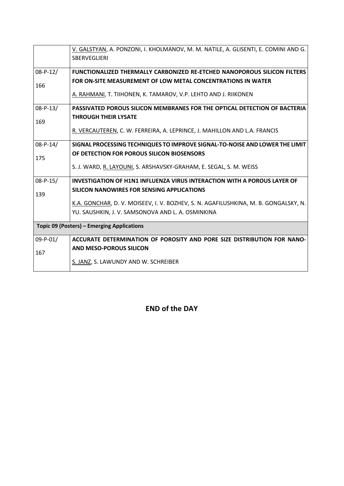|                | V. GALSTYAN, A. PONZONI, I. KHOLMANOV, M. M. NATILE, A. GLISENTI, E. COMINI AND G.  |  |  |  |  |
|----------------|-------------------------------------------------------------------------------------|--|--|--|--|
|                | <b>SBERVEGLIERI</b>                                                                 |  |  |  |  |
| $08-P-12/$     | <b>FUNCTIONALIZED THERMALLY CARBONIZED RE-ETCHED NANOPOROUS SILICON FILTERS</b>     |  |  |  |  |
|                | <b>FOR ON-SITE MEASUREMENT OF LOW METAL CONCENTRATIONS IN WATER</b>                 |  |  |  |  |
| 166            |                                                                                     |  |  |  |  |
|                | A. RAHMANI, T. TIIHONEN, K. TAMAROV, V.P. LEHTO AND J. RIIKONEN                     |  |  |  |  |
| $08 - P - 13/$ | PASSIVATED POROUS SILICON MEMBRANES FOR THE OPTICAL DETECTION OF BACTERIA           |  |  |  |  |
| 169            | <b>THROUGH THEIR LYSATE</b>                                                         |  |  |  |  |
|                | R. VERCAUTEREN, C. W. FERREIRA, A. LEPRINCE, J. MAHILLON AND L.A. FRANCIS           |  |  |  |  |
| $08-P-14/$     | SIGNAL PROCESSING TECHNIQUES TO IMPROVE SIGNAL-TO-NOISE AND LOWER THE LIMIT         |  |  |  |  |
| 175            | OF DETECTION FOR POROUS SILICON BIOSENSORS                                          |  |  |  |  |
|                | S. J. WARD, R. LAYOUNI, S. ARSHAVSKY-GRAHAM, E. SEGAL, S. M. WEISS                  |  |  |  |  |
| $08 - P - 15/$ | INVESTIGATION OF H1N1 INFLUENZA VIRUS INTERACTION WITH A POROUS LAYER OF            |  |  |  |  |
| 139            | SILICON NANOWIRES FOR SENSING APPLICATIONS                                          |  |  |  |  |
|                | K.A. GONCHAR, D. V. MOISEEV, I. V. BOZHEV, S. N. AGAFILUSHKINA, M. B. GONGALSKY, N. |  |  |  |  |
|                | YU. SAUSHKIN, J. V. SAMSONOVA AND L. A. OSMINKINA                                   |  |  |  |  |
|                | Topic 09 (Posters) - Emerging Applications                                          |  |  |  |  |
| $09 - P - 01/$ | ACCURATE DETERMINATION OF POROSITY AND PORE SIZE DISTRIBUTION FOR NANO-             |  |  |  |  |
| 167            | <b>AND MESO-POROUS SILICON</b>                                                      |  |  |  |  |
|                | S. JANZ, S. LAWUNDY AND W. SCHREIBER                                                |  |  |  |  |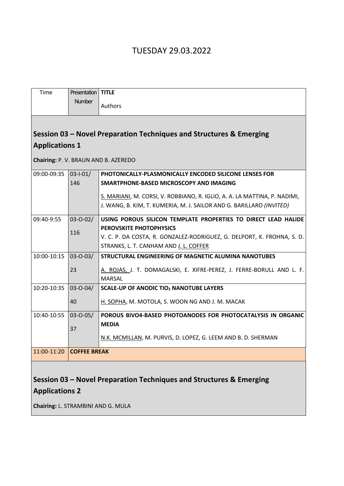# TUESDAY 29.03.2022

| Time                                                                | Presentation        | <b>TITLE</b>                                                              |
|---------------------------------------------------------------------|---------------------|---------------------------------------------------------------------------|
|                                                                     | <b>Number</b>       | Authors                                                                   |
|                                                                     |                     |                                                                           |
|                                                                     |                     | Session 03 - Novel Preparation Techniques and Structures & Emerging       |
| <b>Applications 1</b>                                               |                     |                                                                           |
|                                                                     |                     | Chairing: P. V. BRAUN AND B. AZEREDO                                      |
| 09:00-09:35                                                         | $03 - 1 - 01/$      | PHOTONICALLY-PLASMONICALLY ENCODED SILICONE LENSES FOR                    |
|                                                                     | 146                 | SMARTPHONE-BASED MICROSCOPY AND IMAGING                                   |
|                                                                     |                     | S. MARIANI, M. CORSI, V. ROBBIANO, R. IGLIO, A. A. LA MATTINA, P. NADIMI, |
|                                                                     |                     | J. WANG, B. KIM, T. KUMERIA, M. J. SAILOR AND G. BARILLARO (INVITED)      |
| 09:40-9:55                                                          | $03 - 0 - 02/$      | USING POROUS SILICON TEMPLATE PROPERTIES TO DIRECT LEAD HALIDE            |
|                                                                     | 116                 | PEROVSKITE PHOTOPHYSICS                                                   |
|                                                                     |                     | V. C. P. DA COSTA, R. GONZALEZ-RODRIGUEZ, G. DELPORT, K. FROHNA, S. D.    |
|                                                                     |                     | STRANKS, L. T. CANHAM AND J. L. COFFER                                    |
| 10:00-10:15                                                         | $03 - 0 - 03/$      | <b>STRUCTURAL ENGINEERING OF MAGNETIC ALUMINA NANOTUBES</b>               |
|                                                                     | 23                  | A. ROJAS, J. T. DOMAGALSKI, E. XIFRE-PEREZ, J. FERRE-BORULL AND L. F.     |
|                                                                     |                     | <b>MARSAL</b>                                                             |
| 10:20-10:35                                                         | $03 - 0 - 04/$      | <b>SCALE-UP OF ANODIC TIO2 NANOTUBE LAYERS</b>                            |
|                                                                     | 40                  | H. SOPHA, M. MOTOLA, S. WOON NG AND J. M. MACAK                           |
| 10:40-10:55                                                         | $03 - 0 - 05/$      | POROUS BIVO4-BASED PHOTOANODES FOR PHOTOCATALYSIS IN ORGANIC              |
|                                                                     | 37                  | <b>MEDIA</b>                                                              |
|                                                                     |                     | N.K. MCMILLAN, M. PURVIS, D. LOPEZ, G. LEEM AND B. D. SHERMAN             |
|                                                                     |                     |                                                                           |
| 11:00-11:20                                                         | <b>COFFEE BREAK</b> |                                                                           |
|                                                                     |                     |                                                                           |
| Session 03 - Novel Preparation Techniques and Structures & Emerging |                     |                                                                           |
| <b>Applications 2</b>                                               |                     |                                                                           |
|                                                                     |                     |                                                                           |

**Chairing:** L. STRAMBINI AND G. MULA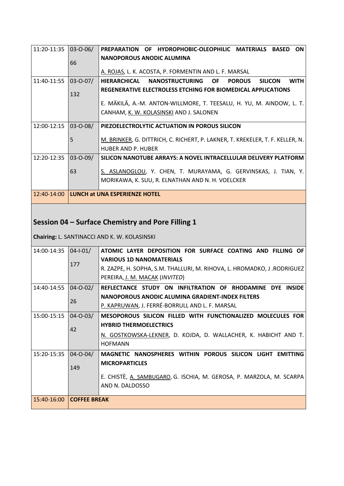| 11:20-11:35 | $03 - 0 - 06/$ | PREPARATION OF HYDROPHOBIC-OLEOPHILIC MATERIALS BASED<br><b>ON</b>                |
|-------------|----------------|-----------------------------------------------------------------------------------|
|             |                |                                                                                   |
|             |                | <b>NANOPOROUS ANODIC ALUMINA</b>                                                  |
|             | 66             |                                                                                   |
|             |                | A. ROJAS, L. K. ACOSTA, P. FORMENTIN AND L. F. MARSAL                             |
| 11:40-11:55 | $03 - 0 - 07/$ | HIERARCHICAL NANOSTRUCTURING OF<br><b>POROUS</b><br><b>SILICON</b><br><b>WITH</b> |
|             |                | REGENERATIVE ELECTROLESS ETCHING FOR BIOMEDICAL APPLICATIONS                      |
|             | 132            |                                                                                   |
|             |                | E. MÄKILÄ, A.-M. ANTON-WILLMORE, T. TEESALU, H. YU, M. AINDOW, L. T.              |
|             |                | CANHAM, K. W. KOLASINSKI AND J. SALONEN                                           |
|             |                |                                                                                   |
| 12:00-12:15 | $03 - 0 - 08/$ | PIEZOELECTROLYTIC ACTUATION IN POROUS SILICON                                     |
|             |                |                                                                                   |
|             | 5              | M. BRINKER, G. DITTRICH, C. RICHERT, P. LAKNER, T. KREKELER, T. F. KELLER, N.     |
|             |                | <b>HUBER AND P. HUBER</b>                                                         |
| 12:20-12:35 | $03 - 0 - 09/$ | SILICON NANOTUBE ARRAYS: A NOVEL INTRACELLULAR DELIVERY PLATFORM                  |
|             |                |                                                                                   |
|             | 63             | S. ASLANOGLOU, Y. CHEN, T. MURAYAMA, G. GERVINSKAS, J. TIAN, Y.                   |
|             |                | MORIKAWA, K. SUU, R. ELNATHAN AND N. H. VOELCKER                                  |
|             |                |                                                                                   |
| 12:40-14:00 |                | <b>LUNCH at UNA ESPERIENZE HOTEL</b>                                              |

# **Session 04 – Surface Chemistry and Pore Filling 1**

**Chairing:** L. SANTINACCI AND K. W. KOLASINSKI

| $14:00-14:35$ 04-1-01/   |                | OF.                                                                     |
|--------------------------|----------------|-------------------------------------------------------------------------|
|                          |                | ATOMIC LAYER DEPOSITION FOR SURFACE COATING AND FILLING                 |
|                          | 177            | <b>VARIOUS 1D NANOMATERIALS</b>                                         |
|                          |                | R. ZAZPE, H. SOPHA, S.M. THALLURI, M. RIHOVA, L. HROMADKO, J .RODRIGUEZ |
|                          |                | PEREIRA, J. M. MACAK (INVITED)                                          |
| 14:40-14:55 04-0-02/     |                | REFLECTANCE STUDY ON INFILTRATION OF RHODAMINE DYE INSIDE               |
|                          | 26             | NANOPOROUS ANODIC ALUMINA GRADIENT-INDEX FILTERS                        |
|                          |                | P. KAPRUWAN, J. FERRÉ-BORRULL AND L. F. MARSAL                          |
| 15:00-15:15              | $04 - 0 - 03/$ | MESOPOROUS SILICON FILLED WITH FUNCTIONALIZED MOLECULES FOR             |
|                          | 42             | <b>HYBRID THERMOELECTRICS</b>                                           |
|                          |                | N. GOSTKOWSKA-LEKNER, D. KOJDA, D. WALLACHER, K. HABICHT AND T.         |
|                          |                | <b>HOFMANN</b>                                                          |
| 15:20-15:35              | $04 - 0 - 04/$ | MAGNETIC NANOSPHERES WITHIN POROUS SILICON LIGHT EMITTING               |
|                          | 149            | <b>MICROPARTICLES</b>                                                   |
|                          |                |                                                                         |
|                          |                | E. CHISTÈ, A. SAMBUGARO, G. ISCHIA, M. GEROSA, P. MARZOLA, M. SCARPA    |
|                          |                | AND N. DALDOSSO                                                         |
| 15:40-16:00 COFFEE BREAK |                |                                                                         |
|                          |                |                                                                         |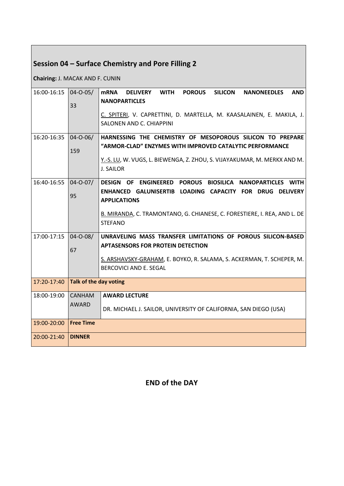# **Session 04 – Surface Chemistry and Pore Filling 2**

**Chairing:** J. MACAK AND F. CUNIN

| 16:00-16:15 | $04 - 0 - 05$          | <b>mRNA</b><br><b>WITH</b><br><b>POROUS</b><br><b>SILICON</b><br><b>NANONEEDLES</b><br><b>AND</b><br><b>DELIVERY</b> |
|-------------|------------------------|----------------------------------------------------------------------------------------------------------------------|
|             | 33                     | <b>NANOPARTICLES</b>                                                                                                 |
|             |                        | C. SPITERI, V. CAPRETTINI, D. MARTELLA, M. KAASALAINEN, E. MAKILA, J.                                                |
|             |                        | SALONEN AND C. CHIAPPINI                                                                                             |
| 16:20-16:35 | $04 - 0 - 06/$         | HARNESSING THE CHEMISTRY OF MESOPOROUS SILICON TO PREPARE                                                            |
|             | 159                    | "ARMOR-CLAD" ENZYMES WITH IMPROVED CATALYTIC PERFORMANCE                                                             |
|             |                        | Y.-S. LU, W. VUGS, L. BIEWENGA, Z. ZHOU, S. VIJAYAKUMAR, M. MERKX AND M.                                             |
|             |                        | J. SAILOR                                                                                                            |
| 16:40-16:55 | $04 - 0 - 07/$         | DESIGN OF ENGINEERED POROUS BIOSILICA NANOPARTICLES WITH                                                             |
|             | 95                     | ENHANCED GALUNISERTIB LOADING CAPACITY FOR DRUG DELIVERY                                                             |
|             |                        | <b>APPLICATIONS</b>                                                                                                  |
|             |                        | B. MIRANDA, C. TRAMONTANO, G. CHIANESE, C. FORESTIERE, I. REA, AND L. DE                                             |
|             |                        | <b>STEFANO</b>                                                                                                       |
| 17:00-17:15 | $04 - 0 - 08/$         | UNRAVELING MASS TRANSFER LIMITATIONS OF POROUS SILICON-BASED                                                         |
|             | 67                     | <b>APTASENSORS FOR PROTEIN DETECTION</b>                                                                             |
|             |                        | S. ARSHAVSKY-GRAHAM, E. BOYKO, R. SALAMA, S. ACKERMAN, T. SCHEPER, M.                                                |
|             |                        | <b>BERCOVICI AND E. SEGAL</b>                                                                                        |
|             |                        |                                                                                                                      |
| 17:20-17:40 | Talk of the day voting |                                                                                                                      |
| 18:00-19:00 | <b>CANHAM</b>          | <b>AWARD LECTURE</b>                                                                                                 |
|             | <b>AWARD</b>           | DR. MICHAEL J. SAILOR, UNIVERSITY OF CALIFORNIA, SAN DIEGO (USA)                                                     |
| 19:00-20:00 | <b>Free Time</b>       |                                                                                                                      |
| 20:00-21:40 | <b>DINNER</b>          |                                                                                                                      |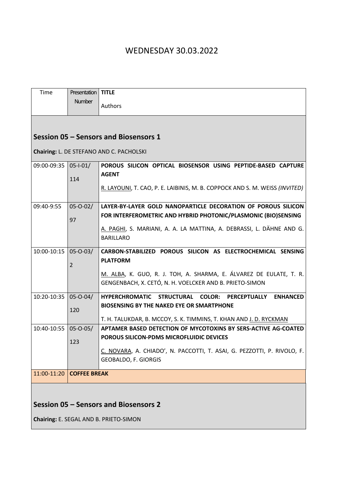# WEDNESDAY 30.03.2022

| Time                                  | Presentation        | <b>TITLE</b>                                                                   |
|---------------------------------------|---------------------|--------------------------------------------------------------------------------|
|                                       | Number              | Authors                                                                        |
|                                       |                     |                                                                                |
|                                       |                     | Session 05 - Sensors and Biosensors 1                                          |
|                                       |                     | Chairing: L. DE STEFANO AND C. PACHOLSKI                                       |
| 09:00-09:35 05-1-01/                  |                     | POROUS SILICON OPTICAL BIOSENSOR USING PEPTIDE-BASED CAPTURE                   |
|                                       | 114                 | <b>AGENT</b>                                                                   |
|                                       |                     | R. LAYOUNI, T. CAO, P. E. LAIBINIS, M. B. COPPOCK AND S. M. WEISS (INVITED)    |
| 09:40-9:55                            | $05 - 0 - 02/$      | LAYER-BY-LAYER GOLD NANOPARTICLE DECORATION OF POROUS SILICON                  |
|                                       | 97                  | FOR INTERFEROMETRIC AND HYBRID PHOTONIC/PLASMONIC (BIO)SENSING                 |
|                                       |                     | A. PAGHI, S. MARIANI, A. A. LA MATTINA, A. DEBRASSI, L. DÄHNE AND G.           |
|                                       |                     | <b>BARILLARO</b>                                                               |
| 10:00-10:15                           |                     |                                                                                |
|                                       | $05 - 0 - 03/$      | CARBON-STABILIZED POROUS SILICON AS ELECTROCHEMICAL SENSING<br><b>PLATFORM</b> |
|                                       | $\overline{2}$      |                                                                                |
|                                       |                     | M. ALBA, K. GUO, R. J. TOH, A. SHARMA, E. ÁLVAREZ DE EULATE, T. R.             |
|                                       |                     | GENGENBACH, X. CETÓ, N. H. VOELCKER AND B. PRIETO-SIMON                        |
| 10:20-10:35                           | $05 - 0 - 04/$      | HYPERCHROMATIC STRUCTURAL<br><b>COLOR: PERCEPTUALLY</b><br><b>ENHANCED</b>     |
|                                       | 120                 | <b>BIOSENSING BY THE NAKED EYE OR SMARTPHONE</b>                               |
|                                       |                     | T. H. TALUKDAR, B. MCCOY, S. K. TIMMINS, T. KHAN AND J. D. RYCKMAN             |
| 10:40-10:55                           | $05 - 0 - 05/$      | APTAMER BASED DETECTION OF MYCOTOXINS BY SERS-ACTIVE AG-COATED                 |
|                                       | 123                 | <b>POROUS SILICON-PDMS MICROFLUIDIC DEVICES</b>                                |
|                                       |                     | C. NOVARA, A. CHIADO', N. PACCOTTI, T. ASAI, G. PEZZOTTI, P. RIVOLO, F.        |
|                                       |                     | GEOBALDO, F. GIORGIS                                                           |
| 11:00-11:20                           | <b>COFFEE BREAK</b> |                                                                                |
|                                       |                     |                                                                                |
|                                       |                     |                                                                                |
| Session 05 - Sensors and Biosensors 2 |                     |                                                                                |

**Chairing:** E. SEGAL AND B. PRIETO-SIMON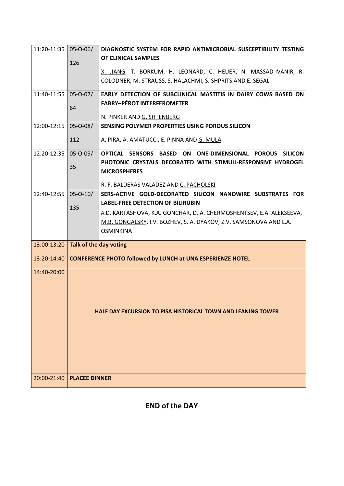| 11:20-11:35 05-0-06/        |                                                                     | DIAGNOSTIC SYSTEM FOR RAPID ANTIMICROBIAL SUSCEPTIBILITY TESTING                    |  |  |
|-----------------------------|---------------------------------------------------------------------|-------------------------------------------------------------------------------------|--|--|
|                             | 126                                                                 | OF CLINICAL SAMPLES                                                                 |  |  |
|                             |                                                                     | X. JIANG, T. BORKUM, H. LEONARD, C. HEUER, N. MASSAD-IVANIR, R.                     |  |  |
|                             |                                                                     | COLODNER, M. STRAUSS, S. HALACHMI, S. SHPRITS AND E. SEGAL                          |  |  |
| 11:40-11:55  05-0-07/       |                                                                     | EARLY DETECTION OF SUBCLINICAL MASTITIS IN DAIRY COWS BASED ON                      |  |  |
|                             | 64                                                                  | <b>FABRY-PÉROT INTERFEROMETER</b>                                                   |  |  |
|                             |                                                                     | N. PINKER AND G. SHTENBERG                                                          |  |  |
| 12:00-12:15   05-0-08/      |                                                                     | SENSING POLYMER PROPERTIES USING POROUS SILICON                                     |  |  |
|                             | 112                                                                 | A. PIRA, A. AMATUCCI, E. PINNA AND G. MULA                                          |  |  |
| 12:20-12:35   05-0-09/      |                                                                     | OPTICAL SENSORS BASED ON ONE-DIMENSIONAL POROUS SILICON                             |  |  |
|                             | 35                                                                  | PHOTONIC CRYSTALS DECORATED WITH STIMULI-RESPONSIVE HYDROGEL<br><b>MICROSPHERES</b> |  |  |
|                             |                                                                     | R. F. BALDERAS VALADEZ AND C. PACHOLSKI                                             |  |  |
| 12:40-12:55   05-0-10/      |                                                                     | SERS-ACTIVE GOLD-DECORATED SILICON NANOWIRE SUBSTRATES FOR                          |  |  |
|                             | 135                                                                 | <b>LABEL-FREE DETECTION OF BILIRUBIN</b>                                            |  |  |
|                             |                                                                     | A.D. KARTASHOVA, K.A. GONCHAR, D. A. CHERMOSHENTSEV, E.A. ALEKSEEVA,                |  |  |
|                             |                                                                     | M.B. GONGALSKY, I.V. BOZHEV, S. A. DYAKOV, Z.V. SAMSONOVA AND L.A.                  |  |  |
|                             |                                                                     | <b>OSMINKINA</b>                                                                    |  |  |
| 13:00-13:20                 | Talk of the day voting                                              |                                                                                     |  |  |
| 13:20-14:40                 |                                                                     | <b>CONFERENCE PHOTO followed by LUNCH at UNA ESPERIENZE HOTEL</b>                   |  |  |
| 14:40-20:00                 | <b>HALF DAY EXCURSION TO PISA HISTORICAL TOWN AND LEANING TOWER</b> |                                                                                     |  |  |
| 20:00-21:40   PLACEE DINNER |                                                                     |                                                                                     |  |  |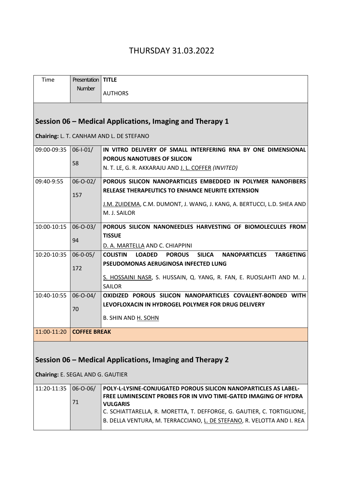# THURSDAY 31.03.2022

| Time                                                     | <b>Presentation</b>        | <b>TITLE</b>                                                                                                                                      |  |  |  |  |
|----------------------------------------------------------|----------------------------|---------------------------------------------------------------------------------------------------------------------------------------------------|--|--|--|--|
|                                                          | <b>Number</b>              | <b>AUTHORS</b>                                                                                                                                    |  |  |  |  |
|                                                          |                            |                                                                                                                                                   |  |  |  |  |
| Session 06 – Medical Applications, Imaging and Therapy 1 |                            |                                                                                                                                                   |  |  |  |  |
| Chairing: L. T. CANHAM AND L. DE STEFANO                 |                            |                                                                                                                                                   |  |  |  |  |
| 09:00-09:35                                              | $06 - 1 - 01/$             | IN VITRO DELIVERY OF SMALL INTERFERING RNA BY ONE DIMENSIONAL                                                                                     |  |  |  |  |
|                                                          | 58                         | POROUS NANOTUBES OF SILICON                                                                                                                       |  |  |  |  |
|                                                          |                            | N. T. LE, G. R. AKKARAJU AND J. L. COFFER (INVITED)                                                                                               |  |  |  |  |
| 09:40-9:55                                               | $06 - 0 - 02/$             | POROUS SILICON NANOPARTICLES EMBEDDED IN POLYMER NANOFIBERS                                                                                       |  |  |  |  |
|                                                          | 157                        | RELEASE THERAPEUTICS TO ENHANCE NEURITE EXTENSION                                                                                                 |  |  |  |  |
|                                                          |                            | J.M. ZUIDEMA, C.M. DUMONT, J. WANG, J. KANG, A. BERTUCCI, L.D. SHEA AND                                                                           |  |  |  |  |
|                                                          |                            | M. J. SAILOR                                                                                                                                      |  |  |  |  |
|                                                          |                            |                                                                                                                                                   |  |  |  |  |
| 10:00-10:15                                              | $06 - 0 - 03/$             | POROUS SILICON NANONEEDLES HARVESTING OF BIOMOLECULES FROM<br><b>TISSUE</b>                                                                       |  |  |  |  |
|                                                          | 94                         |                                                                                                                                                   |  |  |  |  |
| 10:20-10:35                                              | $06 - 0 - 05/$             | D. A. MARTELLA AND C. CHIAPPINI<br><b>TARGETING</b><br><b>COLISTIN</b><br><b>POROUS</b><br><b>SILICA</b><br><b>NANOPARTICLES</b><br><b>LOADED</b> |  |  |  |  |
|                                                          |                            | PSEUDOMONAS AERUGINOSA INFECTED LUNG                                                                                                              |  |  |  |  |
|                                                          | 172                        |                                                                                                                                                   |  |  |  |  |
|                                                          |                            | S. HOSSAINI NASR, S. HUSSAIN, Q. YANG, R. FAN, E. RUOSLAHTI AND M. J.                                                                             |  |  |  |  |
|                                                          |                            | <b>SAILOR</b>                                                                                                                                     |  |  |  |  |
| 10:40-10:55                                              | $06 - 0 - 04/$             | OXIDIZED POROUS SILICON NANOPARTICLES COVALENT-BONDED WITH                                                                                        |  |  |  |  |
|                                                          | 70                         | LEVOFLOXACIN IN HYDROGEL POLYMER FOR DRUG DELIVERY                                                                                                |  |  |  |  |
|                                                          |                            | B. SHIN AND H. SOHN                                                                                                                               |  |  |  |  |
|                                                          | 11:00-11:20   COFFEE BREAK |                                                                                                                                                   |  |  |  |  |
|                                                          |                            |                                                                                                                                                   |  |  |  |  |
| Session 06 - Medical Applications, Imaging and Therapy 2 |                            |                                                                                                                                                   |  |  |  |  |
|                                                          |                            |                                                                                                                                                   |  |  |  |  |
| Chairing: E. SEGAL AND G. GAUTIER                        |                            |                                                                                                                                                   |  |  |  |  |
| 11:20-11:35                                              | $06 - 0 - 06/$             | POLY-L-LYSINE-CONJUGATED POROUS SILICON NANOPARTICLES AS LABEL-                                                                                   |  |  |  |  |
|                                                          | 71                         | FREE LUMINESCENT PROBES FOR IN VIVO TIME-GATED IMAGING OF HYDRA<br><b>VULGARIS</b>                                                                |  |  |  |  |
|                                                          |                            | C. SCHIATTARELLA, R. MORETTA, T. DEFFORGE, G. GAUTIER, C. TORTIGLIONE,                                                                            |  |  |  |  |
|                                                          |                            | B. DELLA VENTURA, M. TERRACCIANO, L. DE STEFANO, R. VELOTTA AND I. REA                                                                            |  |  |  |  |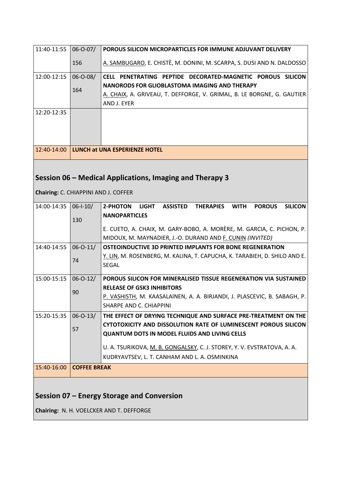| 11:40-11:55                          | $06 - 0 - 07/$                             | POROUS SILICON MICROPARTICLES FOR IMMUNE ADJUVANT DELIVERY                                                        |  |  |  |
|--------------------------------------|--------------------------------------------|-------------------------------------------------------------------------------------------------------------------|--|--|--|
|                                      | 156                                        | A. SAMBUGARO, E. CHISTÈ, M. DONINI, M. SCARPA, S. DUSI AND N. DALDOSSO                                            |  |  |  |
| 12:00-12:15                          | $06 - 0 - 08/$                             | CELL PENETRATING PEPTIDE DECORATED-MAGNETIC POROUS SILICON                                                        |  |  |  |
|                                      |                                            | NANORODS FOR GLIOBLASTOMA IMAGING AND THERAPY                                                                     |  |  |  |
|                                      | 164                                        | A. CHAIX, A. GRIVEAU, T. DEFFORGE, V. GRIMAL, B. LE BORGNE, G. GAUTIER                                            |  |  |  |
|                                      |                                            |                                                                                                                   |  |  |  |
|                                      |                                            | AND J. EYER                                                                                                       |  |  |  |
| 12:20-12:35                          |                                            |                                                                                                                   |  |  |  |
|                                      |                                            |                                                                                                                   |  |  |  |
|                                      |                                            |                                                                                                                   |  |  |  |
|                                      |                                            |                                                                                                                   |  |  |  |
|                                      |                                            |                                                                                                                   |  |  |  |
| 12:40-14:00                          |                                            | LUNCH at UNA ESPERIENZE HOTEL                                                                                     |  |  |  |
|                                      |                                            |                                                                                                                   |  |  |  |
|                                      |                                            |                                                                                                                   |  |  |  |
|                                      |                                            | Session 06 – Medical Applications, Imaging and Therapy 3                                                          |  |  |  |
|                                      |                                            |                                                                                                                   |  |  |  |
| Chairing: C. CHIAPPINI AND J. COFFER |                                            |                                                                                                                   |  |  |  |
| 14:00-14:35                          | $06 - 1 - 10/$                             | 2-PHOTON<br><b>LIGHT</b><br><b>ASSISTED</b><br><b>THERAPIES</b><br><b>WITH</b><br><b>POROUS</b><br><b>SILICON</b> |  |  |  |
|                                      |                                            | <b>NANOPARTICLES</b>                                                                                              |  |  |  |
|                                      | 130                                        |                                                                                                                   |  |  |  |
|                                      |                                            | E. CUETO, A. CHAIX, M. GARY-BOBO, A. MORÈRE, M. GARCIA, C. PICHON, P.                                             |  |  |  |
|                                      |                                            | MIDOUX, M. MAYNADIER, J.-O. DURAND AND F. CUNIN (INVITED)                                                         |  |  |  |
| 14:40-14:55                          | $06 - 0 - 11/$                             | OSTEOINDUCTIVE 3D PRINTED IMPLANTS FOR BONE REGENERATION                                                          |  |  |  |
|                                      |                                            | Y. LIN, M. ROSENBERG, M. KALINA, T. CAPUCHA, K. TARABIEH, D. SHILO AND E.                                         |  |  |  |
|                                      | 74                                         | <b>SEGAL</b>                                                                                                      |  |  |  |
|                                      |                                            |                                                                                                                   |  |  |  |
| 15:00-15:15                          | $06 - 0 - 12/$                             | POROUS SILICON FOR MINERALISED TISSUE REGENERATION VIA SUSTAINED                                                  |  |  |  |
|                                      |                                            | <b>RELEASE OF GSK3 INHIBITORS</b>                                                                                 |  |  |  |
|                                      | 90                                         | <u>P. VASHISTH</u> , M. KAASALAINEN, A. A. BIRJANDI, J. PLASCEVIC, B. SABAGH, P.                                  |  |  |  |
|                                      |                                            | SHARPE AND C. CHIAPPINI                                                                                           |  |  |  |
|                                      |                                            |                                                                                                                   |  |  |  |
| 15:20-15:35                          | $06 - 0 - 13/$                             | THE EFFECT OF DRYING TECHNIQUE AND SURFACE PRE-TREATMENT ON THE                                                   |  |  |  |
|                                      | 57                                         | CYTOTOXICITY AND DISSOLUTION RATE OF LUMINESCENT POROUS SILICON                                                   |  |  |  |
|                                      |                                            | <b>QUANTUM DOTS IN MODEL FLUIDS AND LIVING CELLS</b>                                                              |  |  |  |
|                                      |                                            | U. A. TSURIKOVA, M. B. GONGALSKY, C. J. STOREY, Y. V. EVSTRATOVA, A. A.                                           |  |  |  |
|                                      |                                            | KUDRYAVTSEV, L. T. CANHAM AND L. A. OSMINKINA                                                                     |  |  |  |
| 15:40-16:00                          | <b>COFFEE BREAK</b>                        |                                                                                                                   |  |  |  |
|                                      |                                            |                                                                                                                   |  |  |  |
|                                      |                                            |                                                                                                                   |  |  |  |
|                                      | Session 07 – Energy Storage and Conversion |                                                                                                                   |  |  |  |
|                                      |                                            |                                                                                                                   |  |  |  |

**Chairing:** N. H. VOELCKER AND T. DEFFORGE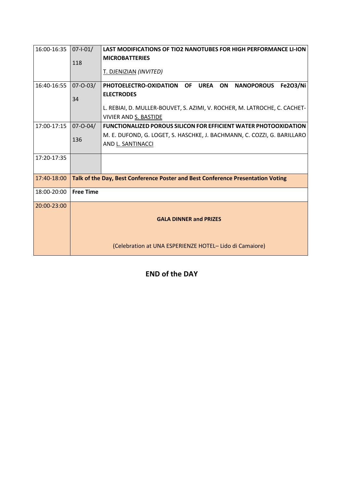| 16:00-16:35 | $07 - 1 - 01/$                                                                  | <b>LAST MODIFICATIONS OF TIO2 NANOTUBES FOR HIGH PERFORMANCE LI-ION</b>                          |
|-------------|---------------------------------------------------------------------------------|--------------------------------------------------------------------------------------------------|
|             | 118                                                                             | <b>MICROBATTERIES</b>                                                                            |
|             |                                                                                 | T. DJENIZIAN (INVITED)                                                                           |
| 16:40-16:55 | $07 - 0 - 03/$                                                                  | <b>OF</b><br><b>UREA</b><br><b>Fe2O3/Ni</b><br>PHOTOELECTRO-OXIDATION<br>ON<br><b>NANOPOROUS</b> |
|             | 34                                                                              | <b>ELECTRODES</b>                                                                                |
|             |                                                                                 | L. REBIAI, D. MULLER-BOUVET, S. AZIMI, V. ROCHER, M. LATROCHE, C. CACHET-                        |
|             |                                                                                 | <b>VIVIER AND S. BASTIDE</b>                                                                     |
| 17:00-17:15 | $07 - 0 - 04/$                                                                  | <b>FUNCTIONALIZED POROUS SILICON FOR EFFICIENT WATER PHOTOOXIDATION</b>                          |
|             | 136                                                                             | M. E. DUFOND, G. LOGET, S. HASCHKE, J. BACHMANN, C. COZZI, G. BARILLARO                          |
|             |                                                                                 | AND L. SANTINACCI                                                                                |
| 17:20-17:35 |                                                                                 |                                                                                                  |
|             |                                                                                 |                                                                                                  |
| 17:40-18:00 | Talk of the Day, Best Conference Poster and Best Conference Presentation Voting |                                                                                                  |
| 18:00-20:00 | <b>Free Time</b>                                                                |                                                                                                  |
| 20:00-23:00 |                                                                                 |                                                                                                  |
|             |                                                                                 | <b>GALA DINNER and PRIZES</b>                                                                    |
|             |                                                                                 |                                                                                                  |
|             |                                                                                 | (Celebration at UNA ESPERIENZE HOTEL-Lido di Camaiore)                                           |
|             |                                                                                 |                                                                                                  |